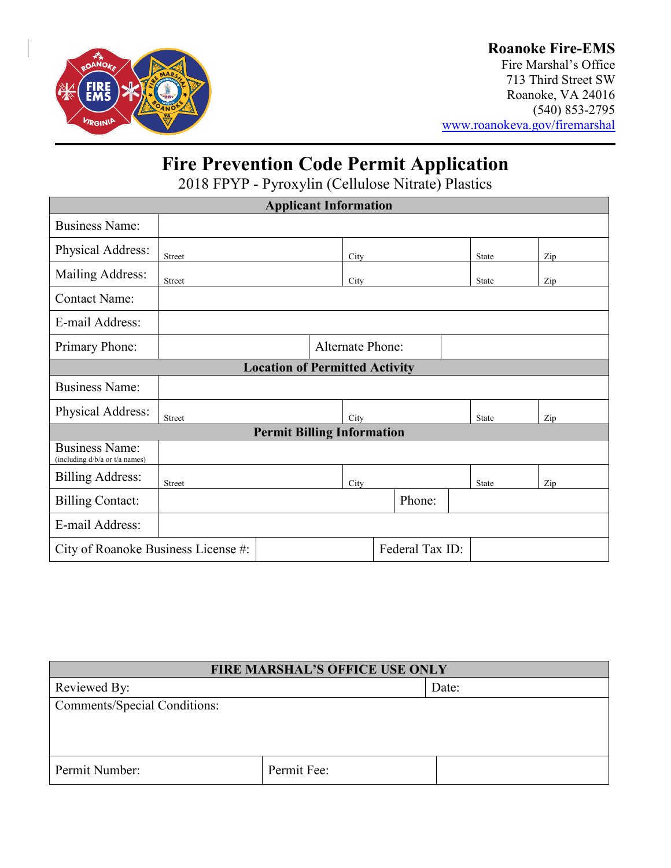

### **Roanoke Fire-EMS**

Fire Marshal's Office 713 Third Street SW Roanoke, VA 24016 (540) 853-2795 [www.roanokeva.gov/firemarshal](http://www.roanokeva.gov/firemarshal)

# **Fire Prevention Code Permit Application**

2018 FPYP - Pyroxylin (Cellulose Nitrate) Plastics

| <b>Applicant Information</b>                            |                         |  |      |        |  |              |     |  |
|---------------------------------------------------------|-------------------------|--|------|--------|--|--------------|-----|--|
| <b>Business Name:</b>                                   |                         |  |      |        |  |              |     |  |
| Physical Address:                                       | Street                  |  | City |        |  | <b>State</b> | Zip |  |
| Mailing Address:                                        | <b>Street</b>           |  | City |        |  | <b>State</b> | Zip |  |
| <b>Contact Name:</b>                                    |                         |  |      |        |  |              |     |  |
| E-mail Address:                                         |                         |  |      |        |  |              |     |  |
| Primary Phone:                                          | <b>Alternate Phone:</b> |  |      |        |  |              |     |  |
| <b>Location of Permitted Activity</b>                   |                         |  |      |        |  |              |     |  |
| <b>Business Name:</b>                                   |                         |  |      |        |  |              |     |  |
| Physical Address:                                       | Street                  |  | City |        |  | State        | Zip |  |
| <b>Permit Billing Information</b>                       |                         |  |      |        |  |              |     |  |
| <b>Business Name:</b><br>(including d/b/a or t/a names) |                         |  |      |        |  |              |     |  |
| <b>Billing Address:</b>                                 | Street                  |  | City |        |  | <b>State</b> | Zip |  |
| <b>Billing Contact:</b>                                 |                         |  |      | Phone: |  |              |     |  |
| E-mail Address:                                         |                         |  |      |        |  |              |     |  |
| Federal Tax ID:<br>City of Roanoke Business License #:  |                         |  |      |        |  |              |     |  |

| <b>FIRE MARSHAL'S OFFICE USE ONLY</b> |             |       |  |  |
|---------------------------------------|-------------|-------|--|--|
| Reviewed By:                          |             | Date: |  |  |
| <b>Comments/Special Conditions:</b>   |             |       |  |  |
|                                       |             |       |  |  |
|                                       |             |       |  |  |
| Permit Number:                        | Permit Fee: |       |  |  |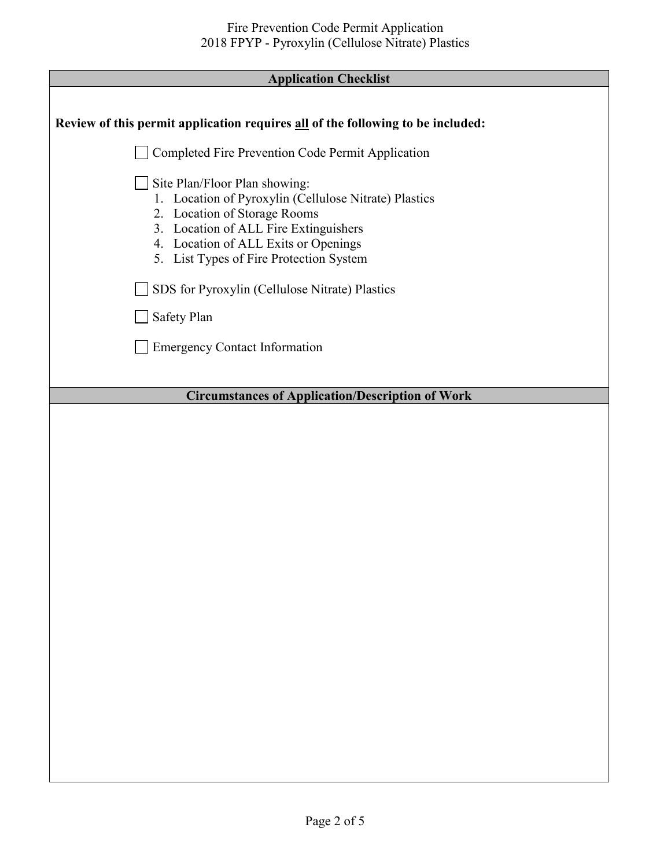Г

| <i><b>Trpphendon</b></i> Cheeming                                                                                                                                                                                                                  |
|----------------------------------------------------------------------------------------------------------------------------------------------------------------------------------------------------------------------------------------------------|
| Review of this permit application requires all of the following to be included:                                                                                                                                                                    |
| Completed Fire Prevention Code Permit Application                                                                                                                                                                                                  |
| Site Plan/Floor Plan showing:<br>1. Location of Pyroxylin (Cellulose Nitrate) Plastics<br>2. Location of Storage Rooms<br>3. Location of ALL Fire Extinguishers<br>4. Location of ALL Exits or Openings<br>5. List Types of Fire Protection System |
| SDS for Pyroxylin (Cellulose Nitrate) Plastics                                                                                                                                                                                                     |
| Safety Plan                                                                                                                                                                                                                                        |
| <b>Emergency Contact Information</b>                                                                                                                                                                                                               |
| <b>Circumstances of Application/Description of Work</b>                                                                                                                                                                                            |
|                                                                                                                                                                                                                                                    |
|                                                                                                                                                                                                                                                    |
|                                                                                                                                                                                                                                                    |
|                                                                                                                                                                                                                                                    |
|                                                                                                                                                                                                                                                    |
|                                                                                                                                                                                                                                                    |
|                                                                                                                                                                                                                                                    |
|                                                                                                                                                                                                                                                    |
|                                                                                                                                                                                                                                                    |
|                                                                                                                                                                                                                                                    |
|                                                                                                                                                                                                                                                    |
|                                                                                                                                                                                                                                                    |
|                                                                                                                                                                                                                                                    |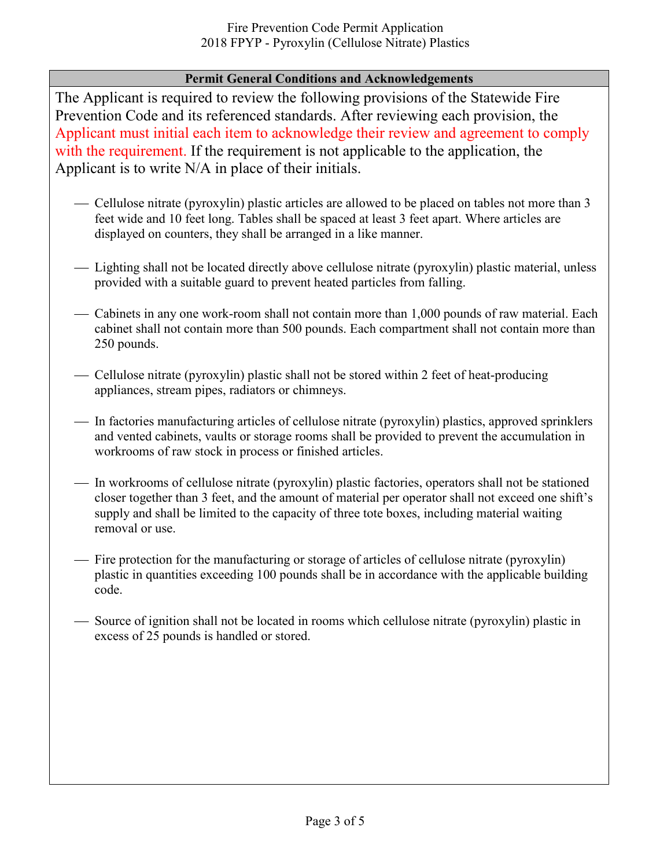#### **Permit General Conditions and Acknowledgements**

The Applicant is required to review the following provisions of the Statewide Fire Prevention Code and its referenced standards. After reviewing each provision, the Applicant must initial each item to acknowledge their review and agreement to comply with the requirement. If the requirement is not applicable to the application, the Applicant is to write N/A in place of their initials.

- Cellulose nitrate (pyroxylin) plastic articles are allowed to be placed on tables not more than 3 feet wide and 10 feet long. Tables shall be spaced at least 3 feet apart. Where articles are displayed on counters, they shall be arranged in a like manner.
- Lighting shall not be located directly above cellulose nitrate (pyroxylin) plastic material, unless provided with a suitable guard to prevent heated particles from falling.
- Cabinets in any one work-room shall not contain more than 1,000 pounds of raw material. Each cabinet shall not contain more than 500 pounds. Each compartment shall not contain more than 250 pounds.
- Cellulose nitrate (pyroxylin) plastic shall not be stored within 2 feet of heat-producing appliances, stream pipes, radiators or chimneys.
- In factories manufacturing articles of cellulose nitrate (pyroxylin) plastics, approved sprinklers and vented cabinets, vaults or storage rooms shall be provided to prevent the accumulation in workrooms of raw stock in process or finished articles.
- In workrooms of cellulose nitrate (pyroxylin) plastic factories, operators shall not be stationed closer together than 3 feet, and the amount of material per operator shall not exceed one shift's supply and shall be limited to the capacity of three tote boxes, including material waiting removal or use.
- Fire protection for the manufacturing or storage of articles of cellulose nitrate (pyroxylin) plastic in quantities exceeding 100 pounds shall be in accordance with the applicable building code.
- Source of ignition shall not be located in rooms which cellulose nitrate (pyroxylin) plastic in excess of 25 pounds is handled or stored.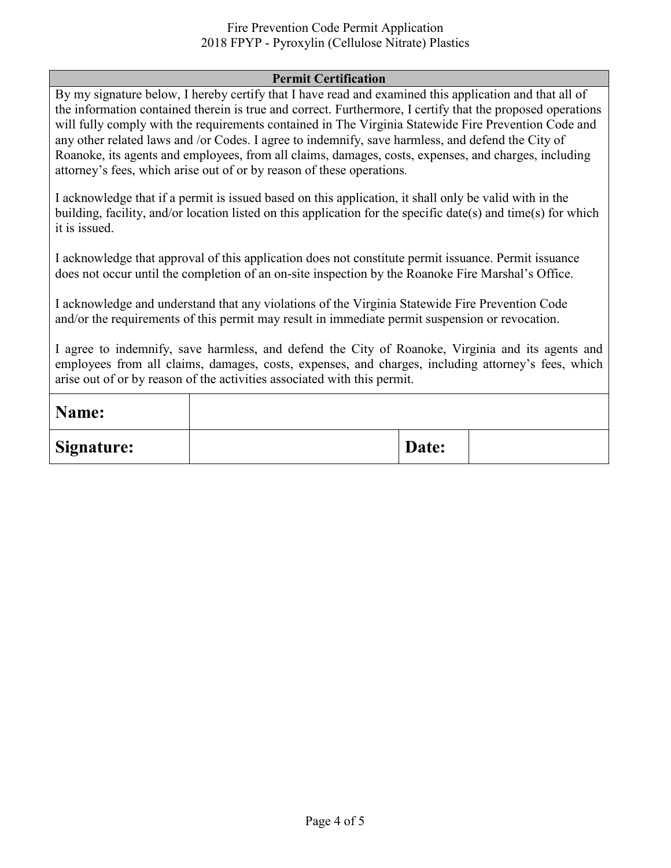#### Fire Prevention Code Permit Application 2018 FPYP - Pyroxylin (Cellulose Nitrate) Plastics

#### **Permit Certification**

By my signature below, I hereby certify that I have read and examined this application and that all of the information contained therein is true and correct. Furthermore, I certify that the proposed operations will fully comply with the requirements contained in The Virginia Statewide Fire Prevention Code and any other related laws and /or Codes. I agree to indemnify, save harmless, and defend the City of Roanoke, its agents and employees, from all claims, damages, costs, expenses, and charges, including attorney's fees, which arise out of or by reason of these operations.

I acknowledge that if a permit is issued based on this application, it shall only be valid with in the building, facility, and/or location listed on this application for the specific date(s) and time(s) for which it is issued.

I acknowledge that approval of this application does not constitute permit issuance. Permit issuance does not occur until the completion of an on-site inspection by the Roanoke Fire Marshal's Office.

I acknowledge and understand that any violations of the Virginia Statewide Fire Prevention Code and/or the requirements of this permit may result in immediate permit suspension or revocation.

I agree to indemnify, save harmless, and defend the City of Roanoke, Virginia and its agents and employees from all claims, damages, costs, expenses, and charges, including attorney's fees, which arise out of or by reason of the activities associated with this permit.

| Name:             |       |  |
|-------------------|-------|--|
| <b>Signature:</b> | Date: |  |